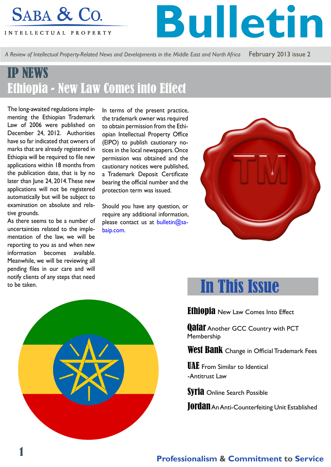# SABA & Co.

INTELLECTUAL PROPERTY

**Bulletin**

*A Review of Intellectual Property-Related News and Developments in the Middle East and North Africa* February 2013 issue 2

### IP NEWS Ethiopia - New Law Comes into Effect

The long-awaited regulations implementing the Ethiopian Trademark Law of 2006 were published on December 24, 2012. Authorities have so far indicated that owners of marks that are already registered in Ethiopia will be required to file new applications within 18 months from the publication date, that is by no later than June 24, 2014. These new applications will not be registered automatically but will be subject to examination on absolute and relative grounds.

As there seems to be a number of uncertainties related to the implementation of the law, we will be reporting to you as and when new information becomes available. Meanwhile, we will be reviewing all pending files in our care and will notify clients of any steps that need to be taken.

In terms of the present practice, the trademark owner was required to obtain permission from the Ethiopian Intellectual Property Office (EIPO) to publish cautionary notices in the local newspapers. Once permission was obtained and the cautionary notices were published, a Trademark Deposit Certificate bearing the official number and the protection term was issued.

Should you have any question, or require any additional information, please contact us at **bulletin@sa**baip.com.





# In This Issue

Ethiopia New Law Comes Into Effect

**Qatal** Another GCC Country with PCT Membership

West Bank Change in Official Trademark Fees

**UAE** From Similar to Identical -Antitrust Law

Syria Online Search Possible

**JOrdan** An Anti-Counterfeiting Unit Established

### **Professionalism & Commitment to Service**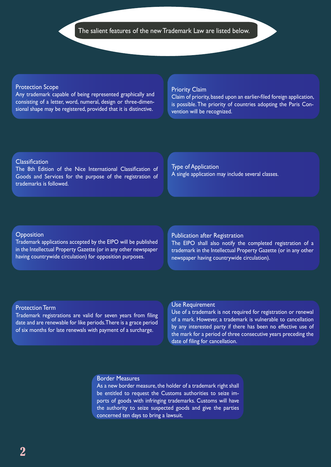#### Protection Scope

Any trademark capable of being represented graphically and consisting of a letter, word, numeral, design or three-dimensional shape may be registered, provided that it is distinctive.

#### Priority Claim

Claim of priority, based upon an earlier-filed foreign application, is possible. The priority of countries adopting the Paris Convention will be recognized.

#### **Classification**

The 8th Edition of the Nice International Classification of Goods and Services for the purpose of the registration of trademarks is followed.

Type of Application A single application may include several classes.

#### **Opposition**

Trademark applications accepted by the EIPO will be published in the Intellectual Property Gazette (or in any other newspaper having countrywide circulation) for opposition purposes.

### Publication after Registration

The EIPO shall also notify the completed registration of a trademark in the Intellectual Property Gazette (or in any other newspaper having countrywide circulation).

#### Protection Term

Trademark registrations are valid for seven years from filing date and are renewable for like periods. There is a grace period of six months for late renewals with payment of a surcharge.

#### Use Requirement

Use of a trademark is not required for registration or renewal of a mark. However, a trademark is vulnerable to cancellation by any interested party if there has been no effective use of the mark for a period of three consecutive years preceding the date of filing for cancellation.

#### Border Measures

As a new border measure, the holder of a trademark right shall be entitled to request the Customs authorities to seize imports of goods with infringing trademarks. Customs will have the authority to seize suspected goods and give the parties concerned ten days to bring a lawsuit.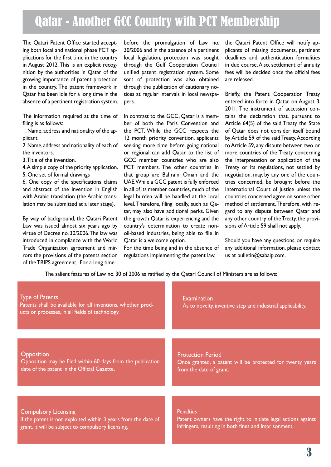### Qatar - Another GCC Country with PCT Membership

The Qatari Patent Office started accepting both local and national phase PCT applications for the first time in the country in August 2012. This is an explicit recognition by the authorities in Qatar of the growing importance of patent protection in the country. The patent framework in Qatar has been idle for a long time in the absence of a pertinent registration system.

The information required at the time of filing is as follows:

1. Name, address and nationality of the applicant.

2. Name, address and nationality of each of the inventors.

3. Title of the invention.

4. A simple copy of the priority application.

5. One set of formal drawings

6. One copy of the specifications claims and abstract of the invention in English with Arabic translation (the Arabic translation may be submitted at a later stage).

By way of background, the Qatari Patent Law was issued almost six years ago by virtue of Decree no. 30/2006. The law was introduced in compliance with the World Trade Organization agreement and mirrors the provisions of the patents section of the TRIPS agreement. For a long time

before the promulgation of Law no. 30/2006 and in the absence of a pertinent local legislation, protection was sought through the Gulf Cooperation Council unified patent registration system. Some sort of protection was also obtained through the publication of cautionary notices at regular intervals in local newspapers.

In contrast to the GCC, Qatar is a member of both the Paris Convention and the PCT. While the GCC respects the 12 month priority convention, applicants seeking more time before going national or regional can add Qatar to the list of GCC member countries who are also PCT members. The other countries in that group are Bahrain, Oman and the UAE. While a GCC patent is fully enforced in all of its member countries, much of the legal burden will be handled at the local level. Therefore, filing locally, such as Qatar, may also have additional perks. Given the growth Qatar is experiencing and the country's determination to create nonoil-based industries, being able to file in Qatar is a welcome option.

For the time being and in the absence of regulations implementing the patent law,

the Qatari Patent Office will notify applicants of missing documents, pertinent deadlines and authentication formalities in due course. Also, settlement of annuity fees will be decided once the official fees are released.

Briefly, the Patent Cooperation Treaty entered into force in Qatar on August 3, 2011. The instrument of accession contains the declaration that, pursuant to Article 64(5) of the said Treaty, the State of Qatar does not consider itself bound by Article 59 of the said Treaty. According to Article 59, any dispute between two or more countries of the Treaty concerning the interpretation or application of the Treaty or its regulations, not settled by negotiation, may, by any one of the countries concerned, be brought before the International Court of Justice unless the countries concerned agree on some other method of settlement. Therefore, with regard to any dispute between Qatar and any other country of the Treaty, the provisions of Article 59 shall not apply.

Should you have any questions, or require any additional information, please contact us at bulletin@sabaip.com.

The salient features of Law no. 30 of 2006 as ratified by the Qatari Council of Ministers are as follows:

| <b>Type of Patents</b><br>Patents shall be available for all inventions, whether prod-<br>ucts or processes, in all fields of technology. | <b>Examination</b><br>As to novelty, inventive step and industrial applicability. |
|-------------------------------------------------------------------------------------------------------------------------------------------|-----------------------------------------------------------------------------------|
| Opposition                                                                                                                                | <b>Protection Period</b>                                                          |
| Opposition may be filed within 60 days from the publication                                                                               | Once granted, a patent will be protected for twenty years                         |
| date of the patent in the Official Gazette.                                                                                               | from the date of grant.                                                           |
|                                                                                                                                           |                                                                                   |
| <b>Compulsory Licensing</b>                                                                                                               | <b>Penalties</b>                                                                  |
| If the patent is not exploited within 3 years from the date of                                                                            | Patent owners have the right to initiate legal actions against                    |
| grant, it will be subject to compulsory licensing.                                                                                        | infringers, resulting in both fines and imprisonment.                             |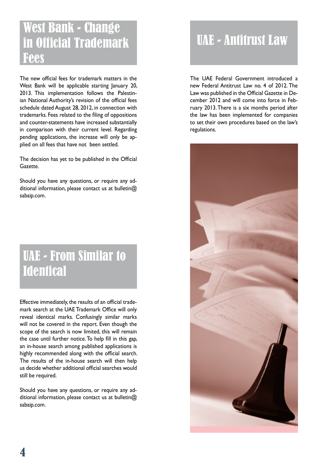### West Bank - Change in Official Trademark Fees

The new official fees for trademark matters in the West Bank will be applicable starting lanuary 20, 2013. This implementation follows the Palestinian National Authority's revision of the official fees schedule dated August 28, 2012, in connection with trademarks. Fees related to the filing of oppositions and counter-statements have increased substantially in comparison with their current level. Regarding pending applications, the increase will only be applied on all fees that have not been settled.

The decision has yet to be published in the Official Gazette.

Should you have any questions, or require any additional information, please contact us at bulletin@ sabaip.com.

### UAE - From Similar to **Identical**

Effective immediately, the results of an official trademark search at the UAE Trademark Office will only reveal identical marks. Confusingly similar marks will not be covered in the report. Even though the scope of the search is now limited, this will remain the case until further notice. To help fill in this gap, an in-house search among published applications is highly recommended along with the official search. The results of the in-house search will then help us decide whether additional official searches would still be required.

Should you have any questions, or require any additional information, please contact us at bulletin@ sabaip.com.

## UAE - Antitrust Law

The UAE Federal Government introduced a new Federal Antitrust Law no. 4 of 2012. The Law was published in the Official Gazette in December 2012 and will come into force in February 2013. There is a six months period after the law has been implemented for companies to set their own procedures based on the law's regulations.

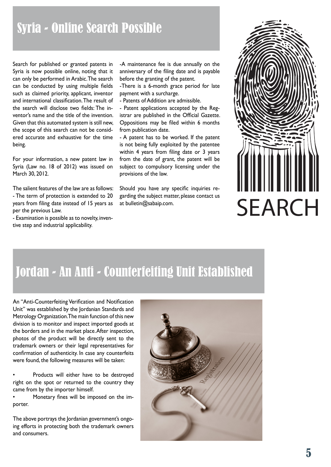### Syria - Online Search Possible

Search for published or granted patents in Syria is now possible online, noting that it can only be performed in Arabic. The search can be conducted by using multiple fields such as claimed priority, applicant, inventor and international classification. The result of the search will disclose two fields: The inventor's name and the title of the invention. Given that this automated system is still new, the scope of this search can not be considered accurate and exhaustive for the time being.

For your information, a new patent law in Syria (Law no. 18 of 2012) was issued on March 30, 2012.

The salient features of the law are as follows: - The term of protection is extended to 20 years from filing date instead of 15 years as per the previous Law.

- Examination is possible as to novelty, inventive step and industrial applicability.

-A maintenance fee is due annually on the anniversary of the filing date and is payable before the granting of the patent.

-There is a 6-month grace period for late payment with a surcharge.

- Patents of Addition are admissible.

- Patent applications accepted by the Registrar are published in the Official Gazette. Oppositions may be filed within 6 months from publication date.

- A patent has to be worked. If the patent is not being fully exploited by the patentee within 4 years from filing date or 3 years from the date of grant, the patent will be subject to compulsory licensing under the provisions of the law.

Should you have any specific inquiries regarding the subject matter, please contact us



# Jordan - An Anti - Counterfeiting Unit Established

An "Anti-Counterfeiting Verification and Notification Unit" was established by the Jordanian Standards and Metrology Organization. The main function of this new division is to monitor and inspect imported goods at the borders and in the market place. After inspection, photos of the product will be directly sent to the trademark owners or their legal representatives for confirmation of authenticity. In case any counterfeits were found, the following measures will be taken:

Products will either have to be destroyed right on the spot or returned to the country they came from by the importer himself.

• Monetary fines will be imposed on the importer.

The above portrays the Jordanian government's ongoing efforts in protecting both the trademark owners and consumers.